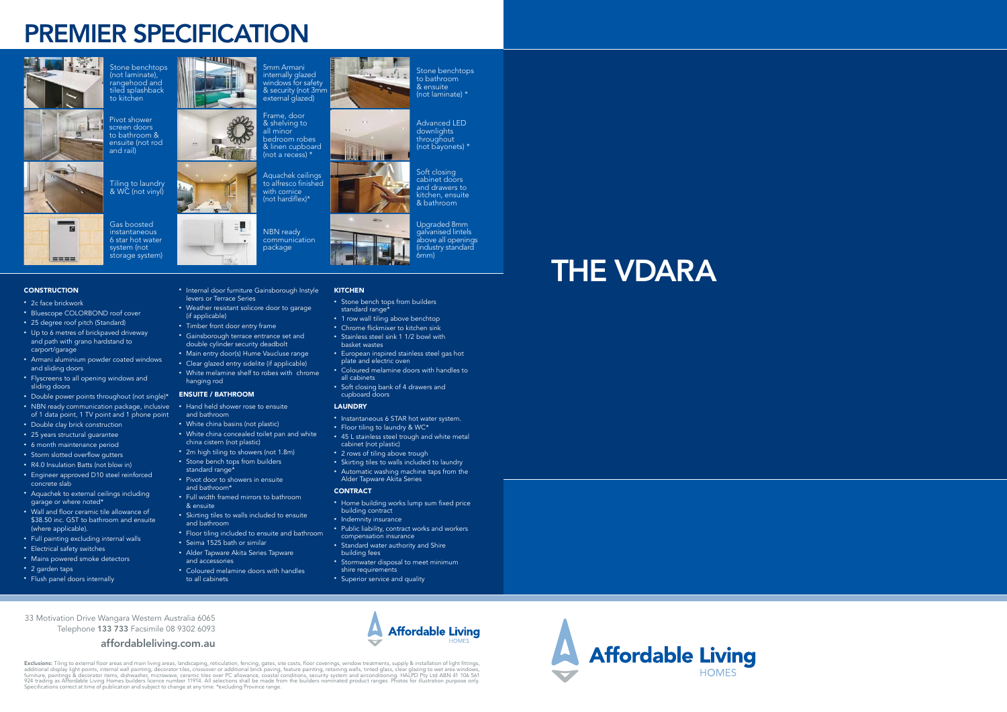## PREMIER SPECIFICATION





 $\overline{\phantom{a}}$ 

- 2c face brickwork
- Bluescope COLORBOND roof cover
- 25 degree roof pitch (Standard)
- Up to 6 metres of brickpaved driveway and path with grano hardstand to carport/garage
- Armani aluminium powder coated windows and sliding doors
- Flyscreens to all opening windows and sliding doors
- Double power points throughout (not single)\* • NBN ready communication package, inclusive of 1 data point, 1 TV point and 1 phone point
- Double clay brick construction
- 25 years structural guarantee
- 6 month maintenance period
- Storm slotted overflow gutters
- R4.0 Insulation Batts (not blow in)
- Engineer approved D10 steel reinforced concrete slab
- Aquachek to external ceilings including garage or where noted\*
- Wall and floor ceramic tile allowance of \$38.50 inc. GST to bathroom and ensuite (where applicable).
- Full painting excluding internal walls
- Electrical safety switches
- Mains powered smoke detectors
- 2 garden taps
- Flush panel doors internally

• Internal door furniture Gainsborough Instyle

levers or Terrace Series

• Weather resistant solicore door to garage

(if applicable)

• Timber front door entry frame

- 1 row wall tiling above benchtop
- Chrome flickmixer to kitchen sink • Stainless steel sink 1 1/2 bowl with basket wastes
- European inspired stainless steel gas hot plate and electric oven
- Coloured melamine doors with handles to all cabinets
- Soft closing bank of 4 drawers and cupboard doors

• Gainsborough terrace entrance set and double cylinder security deadbolt • Main entry door(s) Hume Vaucluse range • Clear glazed entry sidelite (if applicable) • White melamine shelf to robes with chrome

hanging rod ENSUITE / BATHROOM

• Hand held shower rose to ensuite

and bathroom

• White china basins (not plastic)

• White china concealed toilet pan and white

china cistern (not plastic)

• 2m high tiling to showers (not 1.8m) • Stone bench tops from builders

standard range\*

• Pivot door to showers in ensuite

and bathroom\*

• Full width framed mirrors to bathroom

& ensuite

• Skirting tiles to walls included to ensuite

and bathroom

• Floor tiling included to ensuite and bathroom

• Seima 1525 bath or similar • Alder Tapware Akita Series Tapware

**Exclusions:** Tiling to external floor areas and main living areas, landscaping, reticulation, fencing, gates, site costs, floor coverings, window treatments, supply & installation of light fittings,<br>additional display lig Specifications correct at time of publication and subject to change at any time. \*excluding Province range.







**Affordable Living** 

**HOMES** 

and accessories

• Coloured melamine doors with handles

to all cabinets

• Stone bench tops from builders standard range\*

 $x - 1 - x^2 + x$ 

Frame, door & shelving to all minor bedroom robes & linen cupboard (not a recess)  $*$ 

> Soft closing cabinet doors and drawers to kitchen, ensuite & bathroom

#### LAUNDRY

**KITCHEN** 

- Instantaneous 6 STAR hot water system.
- Floor tiling to laundry & WC\*
- 45 L stainless steel trough and white metal cabinet (not plastic)
- 2 rows of tiling above trough
- Skirting tiles to walls included to laundry
- Automatic washing machine taps from the Alder Tapware Akita Series

#### **CONTRACT**

- Home building works lump sum fixed price building contract
- Indemnity insurance
- Public liability, contract works and workers compensation insurance
- Standard water authority and Shire building fees
- Stormwater disposal to meet minimum shire requirements
- Superior service and quality

Stone benchtops (not laminate), rangehood and tiled splashback to kitchen

Pivot shower screen doors to bathroom & ensuite (not rod and rail)

Tiling to laundry & WC (not vinyl)



**FOR** 

Boot

Gas boosted instantaneous 6 star hot water system (not storage system)

#### **CONSTRUCTION**

 $m = m$ 

5mm Armani internally glazed windows for safety & security (not 3mm external glazed)

Aquachek ceilings to alfresco finished with cornice (not hardiflex)\*

NBN ready communication package

Stone benchtops to bathroom

& ensuite (not laminate) \*

Advanced LED downlights throughout (not bayonets) \*

Upgraded 8mm galvanised lintels above all openings (industry standard 6mm)

33 Motivation Drive Wangara Western Australia 6065 Telephone 133 733 Facsimile 08 9302 6093

### affordableliving.com.au



# THE VDARA